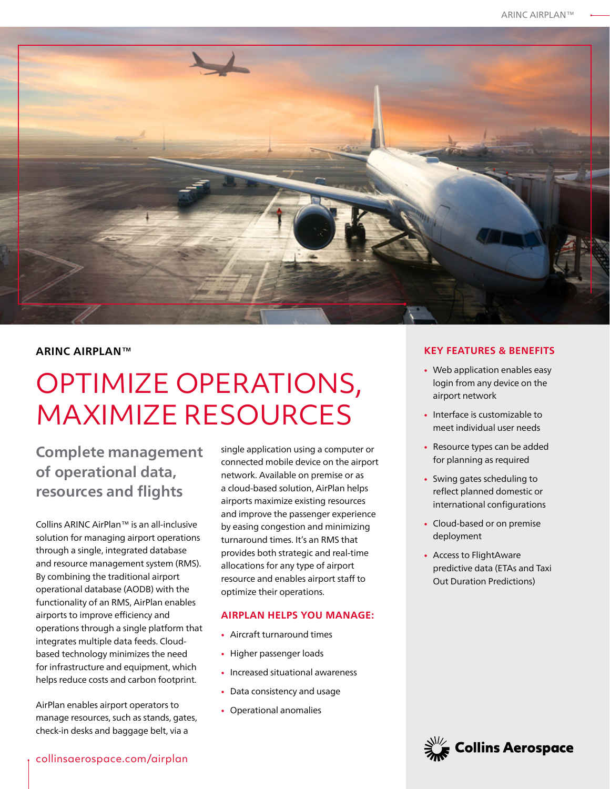

# **ARINC AIRPLAN™**

# OPTIMIZE OPERATIONS, MAXIMIZE RESOURCES

# **Complete management of operational data, resources and flights**

Collins ARINC AirPlan™ is an all-inclusive solution for managing airport operations through a single, integrated database and resource management system (RMS). By combining the traditional airport operational database (AODB) with the functionality of an RMS, AirPlan enables airports to improve efficiency and operations through a single platform that integrates multiple data feeds. Cloudbased technology minimizes the need for infrastructure and equipment, which helps reduce costs and carbon footprint.

AirPlan enables airport operators to manage resources, such as stands, gates, check-in desks and baggage belt, via a

single application using a computer or connected mobile device on the airport network. Available on premise or as a cloud-based solution, AirPlan helps airports maximize existing resources and improve the passenger experience by easing congestion and minimizing turnaround times. It's an RMS that provides both strategic and real-time allocations for any type of airport resource and enables airport staff to optimize their operations.

#### **AIRPLAN HELPS YOU MANAGE:**

- Aircraft turnaround times
- Higher passenger loads
- Increased situational awareness
- Data consistency and usage
- Operational anomalies

# **KEY FEATURES & BENEFITS**

- Web application enables easy login from any device on the airport network
- Interface is customizable to meet individual user needs
- Resource types can be added for planning as required
- Swing gates scheduling to reflect planned domestic or international configurations
- Cloud-based or on premise deployment
- Access to FlightAware predictive data (ETAs and Taxi Out Duration Predictions)